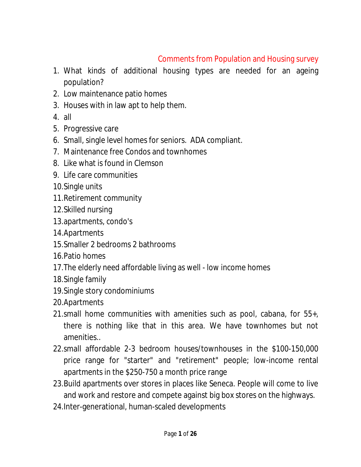# Comments from Population and Housing survey

- 1. What kinds of additional housing types are needed for an ageing population?
- 2. Low maintenance patio homes
- 3. Houses with in law apt to help them.
- 4. all
- 5. Progressive care
- 6. Small, single level homes for seniors. ADA compliant.
- 7. Maintenance free Condos and townhomes
- 8. Like what is found in Clemson
- 9. Life care communities
- 10.Single units
- 11.Retirement community
- 12.Skilled nursing
- 13.apartments, condo's
- 14.Apartments
- 15.Smaller 2 bedrooms 2 bathrooms
- 16.Patio homes
- 17.The elderly need affordable living as well low income homes
- 18.Single family
- 19.Single story condominiums
- 20.Apartments
- 21.small home communities with amenities such as pool, cabana, for 55+, there is nothing like that in this area. We have townhomes but not amenities..
- 22.small affordable 2-3 bedroom houses/townhouses in the \$100-150,000 price range for "starter" and "retirement" people; low-income rental apartments in the \$250-750 a month price range
- 23.Build apartments over stores in places like Seneca. People will come to live and work and restore and compete against big box stores on the highways.
- 24.Inter-generational, human-scaled developments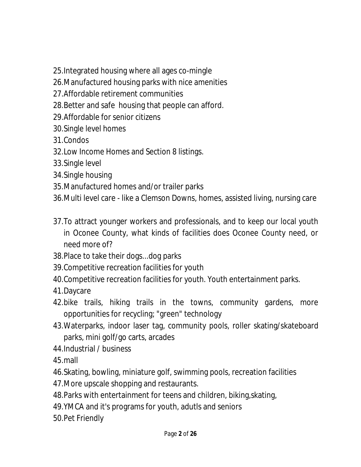- 25.Integrated housing where all ages co-mingle
- 26.Manufactured housing parks with nice amenities
- 27.Affordable retirement communities
- 28.Better and safe housing that people can afford.
- 29.Affordable for senior citizens
- 30.Single level homes
- 31.Condos
- 32.Low Income Homes and Section 8 listings.
- 33.Single level
- 34.Single housing
- 35.Manufactured homes and/or trailer parks
- 36.Multi level care like a Clemson Downs, homes, assisted living, nursing care
- 37.To attract younger workers and professionals, and to keep our local youth in Oconee County, what kinds of facilities does Oconee County need, or need more of?
- 38.Place to take their dogs...dog parks
- 39.Competitive recreation facilities for youth
- 40.Competitive recreation facilities for youth. Youth entertainment parks.
- 41.Daycare
- 42.bike trails, hiking trails in the towns, community gardens, more opportunities for recycling; "green" technology
- 43.Waterparks, indoor laser tag, community pools, roller skating/skateboard parks, mini golf/go carts, arcades
- 44.Industrial / business
- 45.mall
- 46.Skating, bowling, miniature golf, swimming pools, recreation facilities
- 47.More upscale shopping and restaurants.
- 48.Parks with entertainment for teens and children, biking,skating,
- 49.YMCA and it's programs for youth, adutls and seniors
- 50.Pet Friendly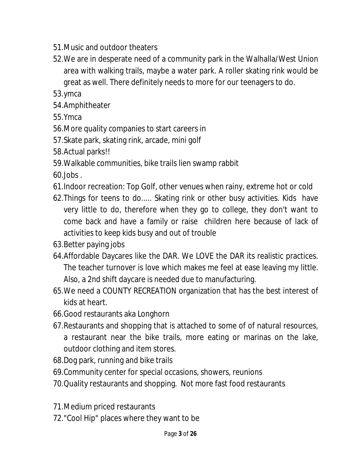- 51.Music and outdoor theaters
- 52.We are in desperate need of a community park in the Walhalla/West Union area with walking trails, maybe a water park. A roller skating rink would be great as well. There definitely needs to more for our teenagers to do.
- 53.ymca
- 54.Amphitheater
- 55.Ymca
- 56.More quality companies to start careers in
- 57.Skate park, skating rink, arcade, mini golf
- 58.Actual parks!!
- 59.Walkable communities, bike trails lien swamp rabbit
- 60.Jobs .
- 61.Indoor recreation: Top Golf, other venues when rainy, extreme hot or cold
- 62.Things for teens to do..... Skating rink or other busy activities. Kids have very little to do, therefore when they go to college, they don't want to come back and have a family or raise children here because of lack of activities to keep kids busy and out of trouble
- 63.Better paying jobs
- 64.Affordable Daycares like the DAR. We LOVE the DAR its realistic practices. The teacher turnover is love which makes me feel at ease leaving my little. Also, a 2nd shift daycare is needed due to manufacturing.
- 65.We need a COUNTY RECREATION organization that has the best interest of kids at heart.
- 66.Good restaurants aka Longhorn
- 67.Restaurants and shopping that is attached to some of of natural resources, a restaurant near the bike trails, more eating or marinas on the lake, outdoor clothing and item stores.
- 68.Dog park, running and bike trails
- 69.Community center for special occasions, showers, reunions
- 70.Quality restaurants and shopping. Not more fast food restaurants
- 71.Medium priced restaurants
- 72."Cool Hip" places where they want to be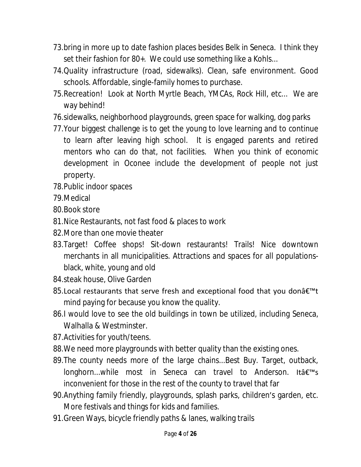- 73.bring in more up to date fashion places besides Belk in Seneca. I think they set their fashion for 80+. We could use something like a Kohls...
- 74.Quality infrastructure (road, sidewalks). Clean, safe environment. Good schools. Affordable, single-family homes to purchase.
- 75.Recreation! Look at North Myrtle Beach, YMCAs, Rock Hill, etc... We are way behind!
- 76.sidewalks, neighborhood playgrounds, green space for walking, dog parks
- 77.Your biggest challenge is to get the young to love learning and to continue to learn after leaving high school. It is engaged parents and retired mentors who can do that, not facilities. When you think of economic development in Oconee include the development of people not just property.
- 78.Public indoor spaces
- 79.Medical
- 80.Book store
- 81.Nice Restaurants, not fast food & places to work
- 82.More than one movie theater
- 83.Target! Coffee shops! Sit-down restaurants! Trails! Nice downtown merchants in all municipalities. Attractions and spaces for all populationsblack, white, young and old
- 84.steak house, Olive Garden
- $85$ . Local restaurants that serve fresh and exceptional food that you donâ€<sup>™</sup>t mind paying for because you know the quality.
- 86.I would love to see the old buildings in town be utilized, including Seneca, Walhalla & Westminster.
- 87.Activities for youth/teens.
- 88.We need more playgrounds with better quality than the existing ones.
- 89.The county needs more of the large chains...Best Buy. Target, outback, longhorn...while most in Seneca can travel to Anderson. It  $a \in \mathbb{N}$ s inconvenient for those in the rest of the county to travel that far
- 90.Anything family friendly, playgrounds, splash parks, children's garden, etc. More festivals and things for kids and families.
- 91.Green Ways, bicycle friendly paths & lanes, walking trails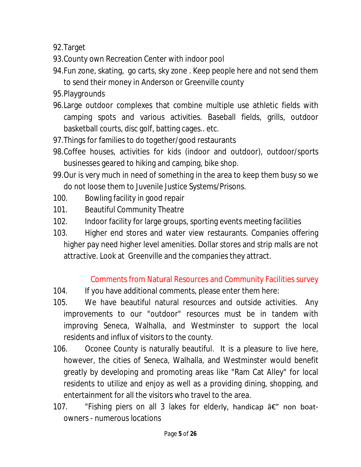92.Target

- 93.County own Recreation Center with indoor pool
- 94.Fun zone, skating, go carts, sky zone . Keep people here and not send them to send their money in Anderson or Greenville county
- 95.Playgrounds
- 96.Large outdoor complexes that combine multiple use athletic fields with camping spots and various activities. Baseball fields, grills, outdoor basketball courts, disc golf, batting cages.. etc.
- 97.Things for families to do together/good restaurants
- 98.Coffee houses, activities for kids (indoor and outdoor), outdoor/sports businesses geared to hiking and camping, bike shop.
- 99.Our is very much in need of something in the area to keep them busy so we do not loose them to Juvenile Justice Systems/Prisons.
- 100. Bowling facility in good repair
- 101. Beautiful Community Theatre
- 102. Indoor facility for large groups, sporting events meeting facilities
- 103. Higher end stores and water view restaurants. Companies offering higher pay need higher level amenities. Dollar stores and strip malls are not attractive. Look at Greenville and the companies they attract.

# Comments from Natural Resources and Community Facilities survey

- 104. If you have additional comments, please enter them here:
- 105. We have beautiful natural resources and outside activities. Any improvements to our "outdoor" resources must be in tandem with improving Seneca, Walhalla, and Westminster to support the local residents and influx of visitors to the county.
- 106. Oconee County is naturally beautiful. It is a pleasure to live here, however, the cities of Seneca, Walhalla, and Westminster would benefit greatly by developing and promoting areas like "Ram Cat Alley" for local residents to utilize and enjoy as well as a providing dining, shopping, and entertainment for all the visitors who travel to the area.
- 107. "Fishing piers on all 3 lakes for elderly, handicap  $a \in \mathcal{C}$  non boatowners - numerous locations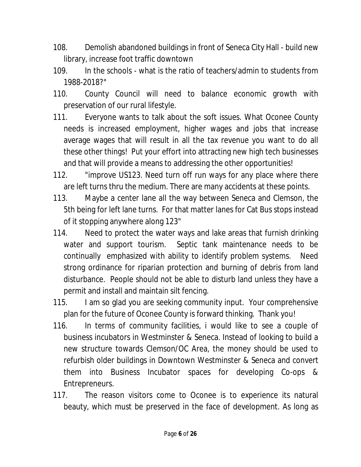- 108. Demolish abandoned buildings in front of Seneca City Hall build new library, increase foot traffic downtown
- 109. In the schools what is the ratio of teachers/admin to students from 1988-2018?"
- 110. County Council will need to balance economic growth with preservation of our rural lifestyle.
- 111. Everyone wants to talk about the soft issues. What Oconee County needs is increased employment, higher wages and jobs that increase average wages that will result in all the tax revenue you want to do all these other things! Put your effort into attracting new high tech businesses and that will provide a means to addressing the other opportunities!
- 112. "improve US123. Need turn off run ways for any place where there are left turns thru the medium. There are many accidents at these points.
- 113. Maybe a center lane all the way between Seneca and Clemson, the 5th being for left lane turns. For that matter lanes for Cat Bus stops instead of it stopping anywhere along 123"
- 114. Need to protect the water ways and lake areas that furnish drinking water and support tourism. Septic tank maintenance needs to be continually emphasized with ability to identify problem systems. Need strong ordinance for riparian protection and burning of debris from land disturbance. People should not be able to disturb land unless they have a permit and install and maintain silt fencing.
- 115. I am so glad you are seeking community input. Your comprehensive plan for the future of Oconee County is forward thinking. Thank you!
- 116. In terms of community facilities, i would like to see a couple of business incubators in Westminster & Seneca. Instead of looking to build a new structure towards Clemson/OC Area, the money should be used to refurbish older buildings in Downtown Westminster & Seneca and convert them into Business Incubator spaces for developing Co-ops & Entrepreneurs.
- 117. The reason visitors come to Oconee is to experience its natural beauty, which must be preserved in the face of development. As long as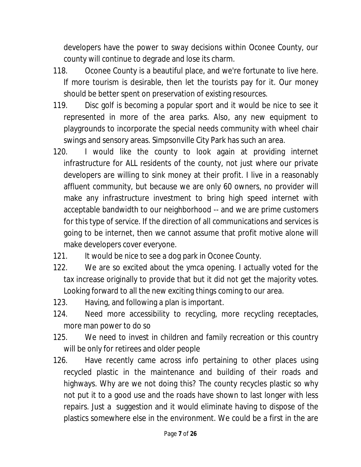developers have the power to sway decisions within Oconee County, our county will continue to degrade and lose its charm.

- 118. Oconee County is a beautiful place, and we're fortunate to live here. If more tourism is desirable, then let the tourists pay for it. Our money should be better spent on preservation of existing resources.
- 119. Disc golf is becoming a popular sport and it would be nice to see it represented in more of the area parks. Also, any new equipment to playgrounds to incorporate the special needs community with wheel chair swings and sensory areas. Simpsonville City Park has such an area.
- 120. I would like the county to look again at providing internet infrastructure for ALL residents of the county, not just where our private developers are willing to sink money at their profit. I live in a reasonably affluent community, but because we are only 60 owners, no provider will make any infrastructure investment to bring high speed internet with acceptable bandwidth to our neighborhood -- and we are prime customers for this type of service. If the direction of all communications and services is going to be internet, then we cannot assume that profit motive alone will make developers cover everyone.
- 121. It would be nice to see a dog park in Oconee County.
- 122. We are so excited about the ymca opening. I actually voted for the tax increase originally to provide that but it did not get the majority votes. Looking forward to all the new exciting things coming to our area.
- 123. Having, and following a plan is important.
- 124. Need more accessibility to recycling, more recycling receptacles, more man power to do so
- 125. We need to invest in children and family recreation or this country will be only for retirees and older people
- 126. Have recently came across info pertaining to other places using recycled plastic in the maintenance and building of their roads and highways. Why are we not doing this? The county recycles plastic so why not put it to a good use and the roads have shown to last longer with less repairs. Just a suggestion and it would eliminate having to dispose of the plastics somewhere else in the environment. We could be a first in the are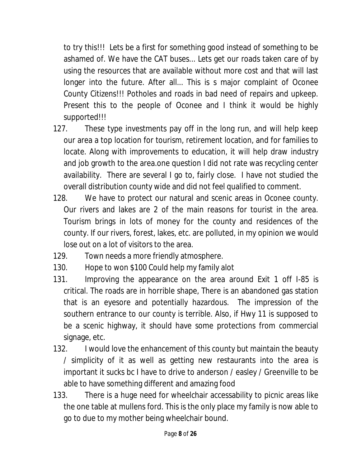to try this!!! Lets be a first for something good instead of something to be ashamed of. We have the CAT buses... Lets get our roads taken care of by using the resources that are available without more cost and that will last longer into the future. After all... This is s major complaint of Oconee County Citizens!!! Potholes and roads in bad need of repairs and upkeep. Present this to the people of Oconee and I think it would be highly supported!!!

- 127. These type investments pay off in the long run, and will help keep our area a top location for tourism, retirement location, and for families to locate. Along with improvements to education, it will help draw industry and job growth to the area.one question I did not rate was recycling center availability. There are several I go to, fairly close. I have not studied the overall distribution county wide and did not feel qualified to comment.
- 128. We have to protect our natural and scenic areas in Oconee county. Our rivers and lakes are 2 of the main reasons for tourist in the area. Tourism brings in lots of money for the county and residences of the county. If our rivers, forest, lakes, etc. are polluted, in my opinion we would lose out on a lot of visitors to the area.
- 129. Town needs a more friendly atmosphere.
- 130. Hope to won \$100 Could help my family alot
- 131. Improving the appearance on the area around Exit 1 off I-85 is critical. The roads are in horrible shape, There is an abandoned gas station that is an eyesore and potentially hazardous. The impression of the southern entrance to our county is terrible. Also, if Hwy 11 is supposed to be a scenic highway, it should have some protections from commercial signage, etc.
- 132. I would love the enhancement of this county but maintain the beauty / simplicity of it as well as getting new restaurants into the area is important it sucks bc I have to drive to anderson / easley / Greenville to be able to have something different and amazing food
- 133. There is a huge need for wheelchair accessability to picnic areas like the one table at mullens ford. This is the only place my family is now able to go to due to my mother being wheelchair bound.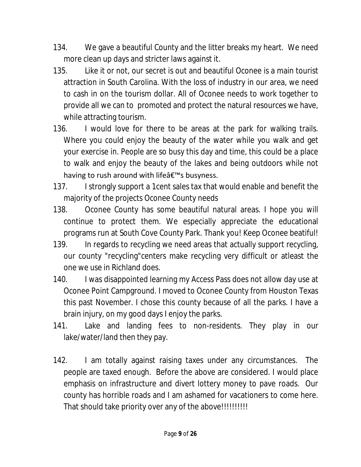- 134. We gave a beautiful County and the litter breaks my heart. We need more clean up days and stricter laws against it.
- 135. Like it or not, our secret is out and beautiful Oconee is a main tourist attraction in South Carolina. With the loss of industry in our area, we need to cash in on the tourism dollar. All of Oconee needs to work together to provide all we can to promoted and protect the natural resources we have, while attracting tourism.
- 136. I would love for there to be areas at the park for walking trails. Where you could enjoy the beauty of the water while you walk and get your exercise in. People are so busy this day and time, this could be a place to walk and enjoy the beauty of the lakes and being outdoors while not having to rush around with life $\hat{a} \in \mathbb{N}$ s busyness.
- 137. I strongly support a 1cent sales tax that would enable and benefit the majority of the projects Oconee County needs
- 138. Oconee County has some beautiful natural areas. I hope you will continue to protect them. We especially appreciate the educational programs run at South Cove County Park. Thank you! Keep Oconee beatiful!
- 139. In regards to recycling we need areas that actually support recycling, our county "recycling"centers make recycling very difficult or atleast the one we use in Richland does.
- 140. I was disappointed learning my Access Pass does not allow day use at Oconee Point Campground. I moved to Oconee County from Houston Texas this past November. I chose this county because of all the parks. I have a brain injury, on my good days I enjoy the parks.
- 141. Lake and landing fees to non-residents. They play in our lake/water/land then they pay.
- 142. I am totally against raising taxes under any circumstances. The people are taxed enough. Before the above are considered. I would place emphasis on infrastructure and divert lottery money to pave roads. Our county has horrible roads and I am ashamed for vacationers to come here. That should take priority over any of the above!!!!!!!!!!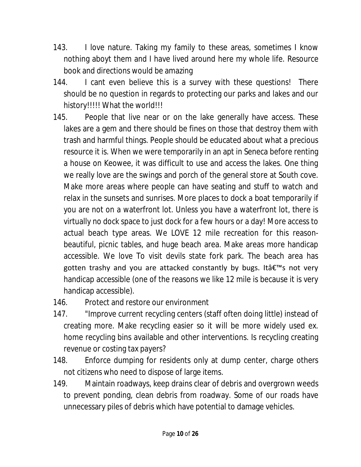- 143. I love nature. Taking my family to these areas, sometimes I know nothing aboyt them and I have lived around here my whole life. Resource book and directions would be amazing
- 144. I cant even believe this is a survey with these questions! There should be no question in regards to protecting our parks and lakes and our history!!!!! What the world!!!
- 145. People that live near or on the lake generally have access. These lakes are a gem and there should be fines on those that destroy them with trash and harmful things. People should be educated about what a precious resource it is. When we were temporarily in an apt in Seneca before renting a house on Keowee, it was difficult to use and access the lakes. One thing we really love are the swings and porch of the general store at South cove. Make more areas where people can have seating and stuff to watch and relax in the sunsets and sunrises. More places to dock a boat temporarily if you are not on a waterfront lot. Unless you have a waterfront lot, there is virtually no dock space to just dock for a few hours or a day! More access to actual beach type areas. We LOVE 12 mile recreation for this reasonbeautiful, picnic tables, and huge beach area. Make areas more handicap accessible. We love To visit devils state fork park. The beach area has gotten trashy and you are attacked constantly by bugs. It a€™s not very handicap accessible (one of the reasons we like 12 mile is because it is very handicap accessible).
- 146. Protect and restore our environment
- 147. "Improve current recycling centers (staff often doing little) instead of creating more. Make recycling easier so it will be more widely used ex. home recycling bins available and other interventions. Is recycling creating revenue or costing tax payers?
- 148. Enforce dumping for residents only at dump center, charge others not citizens who need to dispose of large items.
- 149. Maintain roadways, keep drains clear of debris and overgrown weeds to prevent ponding, clean debris from roadway. Some of our roads have unnecessary piles of debris which have potential to damage vehicles.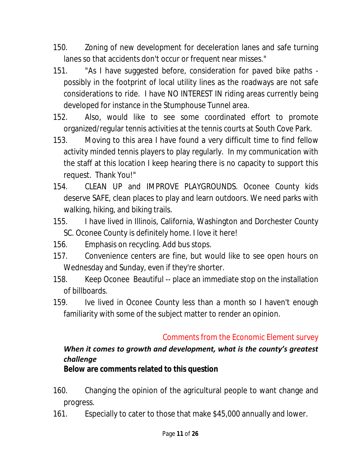- 150. Zoning of new development for deceleration lanes and safe turning lanes so that accidents don't occur or frequent near misses."
- 151. "As I have suggested before, consideration for paved bike paths possibly in the footprint of local utility lines as the roadways are not safe considerations to ride. I have NO INTEREST IN riding areas currently being developed for instance in the Stumphouse Tunnel area.
- 152. Also, would like to see some coordinated effort to promote organized/regular tennis activities at the tennis courts at South Cove Park.
- 153. Moving to this area I have found a very difficult time to find fellow activity minded tennis players to play regularly. In my communication with the staff at this location I keep hearing there is no capacity to support this request. Thank You!"
- 154. CLEAN UP and IMPROVE PLAYGROUNDS. Oconee County kids deserve SAFE, clean places to play and learn outdoors. We need parks with walking, hiking, and biking trails.
- 155. I have lived in Illinois, California, Washington and Dorchester County SC. Oconee County is definitely home. I love it here!
- 156. Emphasis on recycling. Add bus stops.
- 157. Convenience centers are fine, but would like to see open hours on Wednesday and Sunday, even if they're shorter.
- 158. Keep Oconee Beautiful -- place an immediate stop on the installation of billboards.
- 159. Ive lived in Oconee County less than a month so I haven't enough familiarity with some of the subject matter to render an opinion.

# Comments from the Economic Element survey

### *When it comes to growth and development, what is the county's greatest challenge?*

**Below are comments related to this question**

- 160. Changing the opinion of the agricultural people to want change and progress.
- 161. Especially to cater to those that make \$45,000 annually and lower.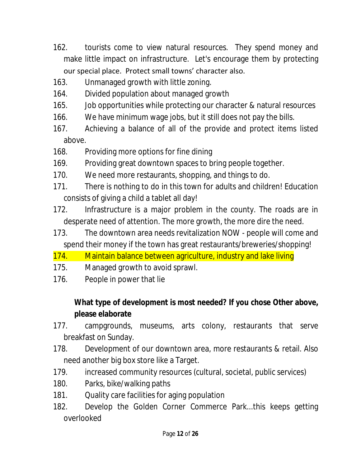- 162. tourists come to view natural resources. They spend money and make little impact on infrastructure. Let's encourage them by protecting our special place. Protect small towns' character also.
- 163. Unmanaged growth with little zoning.
- 164. Divided population about managed growth
- 165. Job opportunities while protecting our character & natural resources
- 166. We have minimum wage jobs, but it still does not pay the bills.
- 167. Achieving a balance of all of the provide and protect items listed above.
- 168. Providing more options for fine dining
- 169. Providing great downtown spaces to bring people together.
- 170. We need more restaurants, shopping, and things to do.
- 171. There is nothing to do in this town for adults and children! Education consists of giving a child a tablet all day!
- 172. Infrastructure is a major problem in the county. The roads are in desperate need of attention. The more growth, the more dire the need.
- 173. The downtown area needs revitalization NOW people will come and spend their money if the town has great restaurants/breweries/shopping!
- 174. Maintain balance between agriculture, industry and lake living
- 175. Managed growth to avoid sprawl.
- 176. People in power that lie

**What type of development is most needed? If you chose Other above, please elaborate**

- 177. campgrounds, museums, arts colony, restaurants that serve breakfast on Sunday.
- 178. Development of our downtown area, more restaurants & retail. Also need another big box store like a Target.
- 179. increased community resources (cultural, societal, public services)
- 180. Parks, bike/walking paths
- 181. Quality care facilities for aging population
- 182. Develop the Golden Corner Commerce Park...this keeps getting overlooked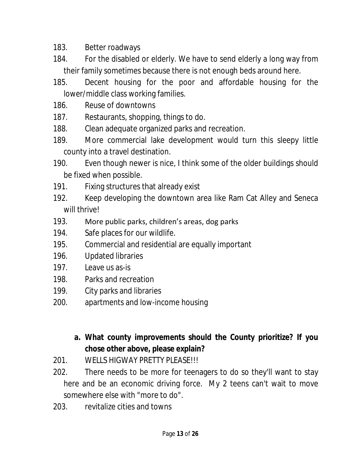183. Better roadways

- 184. For the disabled or elderly. We have to send elderly a long way from their family sometimes because there is not enough beds around here.
- 185. Decent housing for the poor and affordable housing for the lower/middle class working families.
- 186. Reuse of downtowns
- 187. Restaurants, shopping, things to do.
- 188. Clean adequate organized parks and recreation.
- 189. More commercial lake development would turn this sleepy little county into a travel destination.
- 190. Even though newer is nice, I think some of the older buildings should be fixed when possible.
- 191. Fixing structures that already exist
- 192. Keep developing the downtown area like Ram Cat Alley and Seneca will thrive!
- 193. More public parks, children's areas, dog parks
- 194. Safe places for our wildlife.
- 195. Commercial and residential are equally important
- 196. Updated libraries
- 197. Leave us as-is
- 198. Parks and recreation
- 199. City parks and libraries
- 200. apartments and low-income housing
	- **a. What county improvements should the County prioritize? If you chose other above, please explain?**
- 201. WELLS HIGWAY PRETTY PLEASE!!!
- 202. There needs to be more for teenagers to do so they'll want to stay here and be an economic driving force. My 2 teens can't wait to move somewhere else with "more to do".
- 203. revitalize cities and towns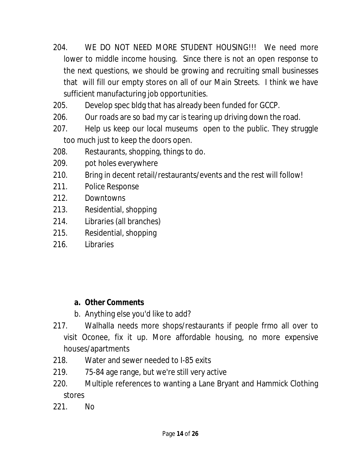- 204. WE DO NOT NEED MORE STUDENT HOUSING!!! We need more lower to middle income housing. Since there is not an open response to the next questions, we should be growing and recruiting small businesses that will fill our empty stores on all of our Main Streets. I think we have sufficient manufacturing job opportunities.
- 205. Develop spec bldg that has already been funded for GCCP.
- 206. Our roads are so bad my car is tearing up driving down the road.
- 207. Help us keep our local museums open to the public. They struggle too much just to keep the doors open.
- 208. Restaurants, shopping, things to do.
- 209. pot holes everywhere
- 210. Bring in decent retail/restaurants/events and the rest will follow!
- 211. Police Response
- 212. Downtowns
- 213. Residential, shopping
- 214. Libraries (all branches)
- 215. Residential, shopping
- 216. Libraries

- **a. Other Comments**
- b. Anything else you'd like to add?
- 217. Walhalla needs more shops/restaurants if people frmo all over to visit Oconee, fix it up. More affordable housing, no more expensive houses/apartments
- 218. Water and sewer needed to I-85 exits
- 219. 75-84 age range, but we're still very active
- 220. Multiple references to wanting a Lane Bryant and Hammick Clothing stores
- 221. No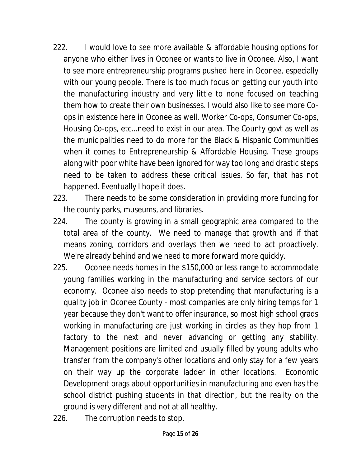- 222. I would love to see more available & affordable housing options for anyone who either lives in Oconee or wants to live in Oconee. Also, I want to see more entrepreneurship programs pushed here in Oconee, especially with our young people. There is too much focus on getting our youth into the manufacturing industry and very little to none focused on teaching them how to create their own businesses. I would also like to see more Coops in existence here in Oconee as well. Worker Co-ops, Consumer Co-ops, Housing Co-ops, etc...need to exist in our area. The County govt as well as the municipalities need to do more for the Black & Hispanic Communities when it comes to Entrepreneurship & Affordable Housing. These groups along with poor white have been ignored for way too long and drastic steps need to be taken to address these critical issues. So far, that has not happened. Eventually I hope it does.
- 223. There needs to be some consideration in providing more funding for the county parks, museums, and libraries.
- 224. The county is growing in a small geographic area compared to the total area of the county. We need to manage that growth and if that means zoning, corridors and overlays then we need to act proactively. We're already behind and we need to more forward more quickly.
- 225. Oconee needs homes in the \$150,000 or less range to accommodate young families working in the manufacturing and service sectors of our economy. Oconee also needs to stop pretending that manufacturing is a quality job in Oconee County - most companies are only hiring temps for 1 year because they don't want to offer insurance, so most high school grads working in manufacturing are just working in circles as they hop from 1 factory to the next and never advancing or getting any stability. Management positions are limited and usually filled by young adults who transfer from the company's other locations and only stay for a few years on their way up the corporate ladder in other locations. Economic Development brags about opportunities in manufacturing and even has the school district pushing students in that direction, but the reality on the ground is very different and not at all healthy.
- 226. The corruption needs to stop.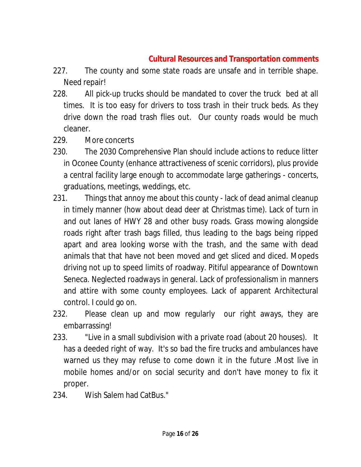# **Cultural Resources and Transportation comments**

- 227. The county and some state roads are unsafe and in terrible shape. Need repair!
- 228. All pick-up trucks should be mandated to cover the truck bed at all times. It is too easy for drivers to toss trash in their truck beds. As they drive down the road trash flies out. Our county roads would be much cleaner.
- 229. More concerts
- 230. The 2030 Comprehensive Plan should include actions to reduce litter in Oconee County (enhance attractiveness of scenic corridors), plus provide a central facility large enough to accommodate large gatherings - concerts, graduations, meetings, weddings, etc.
- 231. Things that annoy me about this county lack of dead animal cleanup in timely manner (how about dead deer at Christmas time). Lack of turn in and out lanes of HWY 28 and other busy roads. Grass mowing alongside roads right after trash bags filled, thus leading to the bags being ripped apart and area looking worse with the trash, and the same with dead animals that that have not been moved and get sliced and diced. Mopeds driving not up to speed limits of roadway. Pitiful appearance of Downtown Seneca. Neglected roadways in general. Lack of professionalism in manners and attire with some county employees. Lack of apparent Architectural control. I could go on.
- 232. Please clean up and mow regularly our right aways, they are embarrassing!
- 233. "Live in a small subdivision with a private road (about 20 houses). It has a deeded right of way. It's so bad the fire trucks and ambulances have warned us they may refuse to come down it in the future .Most live in mobile homes and/or on social security and don't have money to fix it proper.
- 234. Wish Salem had CatBus."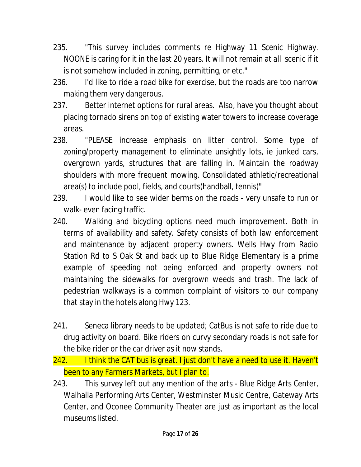- 235. "This survey includes comments re Highway 11 Scenic Highway. NOONE is caring for it in the last 20 years. It will not remain at all scenic if it is not somehow included in zoning, permitting, or etc."
- 236. I'd like to ride a road bike for exercise, but the roads are too narrow making them very dangerous.
- 237. Better internet options for rural areas. Also, have you thought about placing tornado sirens on top of existing water towers to increase coverage areas.
- 238. "PLEASE increase emphasis on litter control. Some type of zoning/property management to eliminate unsightly lots, ie junked cars, overgrown yards, structures that are falling in. Maintain the roadway shoulders with more frequent mowing. Consolidated athletic/recreational area(s) to include pool, fields, and courts(handball, tennis)"
- 239. I would like to see wider berms on the roads very unsafe to run or walk- even facing traffic.
- 240. Walking and bicycling options need much improvement. Both in terms of availability and safety. Safety consists of both law enforcement and maintenance by adjacent property owners. Wells Hwy from Radio Station Rd to S Oak St and back up to Blue Ridge Elementary is a prime example of speeding not being enforced and property owners not maintaining the sidewalks for overgrown weeds and trash. The lack of pedestrian walkways is a common complaint of visitors to our company that stay in the hotels along Hwy 123.
- 241. Seneca library needs to be updated; CatBus is not safe to ride due to drug activity on board. Bike riders on curvy secondary roads is not safe for the bike rider or the car driver as it now stands.
- 242. I think the CAT bus is great. I just don't have a need to use it. Haven't been to any Farmers Markets, but I plan to.
- 243. This survey left out any mention of the arts Blue Ridge Arts Center, Walhalla Performing Arts Center, Westminster Music Centre, Gateway Arts Center, and Oconee Community Theater are just as important as the local museums listed.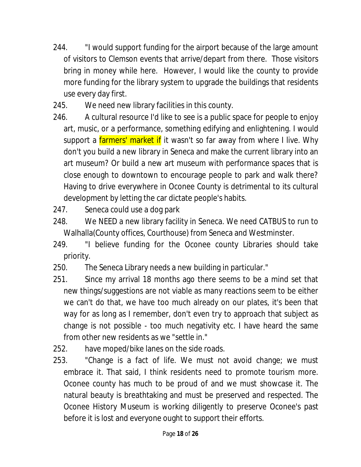- 244. "I would support funding for the airport because of the large amount of visitors to Clemson events that arrive/depart from there. Those visitors bring in money while here. However, I would like the county to provide more funding for the library system to upgrade the buildings that residents use every day first.
- 245. We need new library facilities in this county.
- 246. A cultural resource I'd like to see is a public space for people to enjoy art, music, or a performance, something edifying and enlightening. I would support a *farmers' market if* it wasn't so far away from where I live. Why don't you build a new library in Seneca and make the current library into an art museum? Or build a new art museum with performance spaces that is close enough to downtown to encourage people to park and walk there? Having to drive everywhere in Oconee County is detrimental to its cultural development by letting the car dictate people's habits.
- 247. Seneca could use a dog park
- 248. We NEED a new library facility in Seneca. We need CATBUS to run to Walhalla(County offices, Courthouse) from Seneca and Westminster.
- 249. "I believe funding for the Oconee county Libraries should take priority.
- 250. The Seneca Library needs a new building in particular."
- 251. Since my arrival 18 months ago there seems to be a mind set that new things/suggestions are not viable as many reactions seem to be either we can't do that, we have too much already on our plates, it's been that way for as long as I remember, don't even try to approach that subject as change is not possible - too much negativity etc. I have heard the same from other new residents as we "settle in."
- 252. have moped/bike lanes on the side roads.
- 253. "Change is a fact of life. We must not avoid change; we must embrace it. That said, I think residents need to promote tourism more. Oconee county has much to be proud of and we must showcase it. The natural beauty is breathtaking and must be preserved and respected. The Oconee History Museum is working diligently to preserve Oconee's past before it is lost and everyone ought to support their efforts.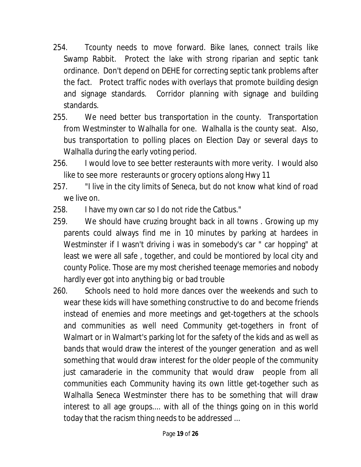- 254. Tcounty needs to move forward. Bike lanes, connect trails like Swamp Rabbit. Protect the lake with strong riparian and septic tank ordinance. Don't depend on DEHE for correcting septic tank problems after the fact. Protect traffic nodes with overlays that promote building design and signage standards. Corridor planning with signage and building standards.
- 255. We need better bus transportation in the county. Transportation from Westminster to Walhalla for one. Walhalla is the county seat. Also, bus transportation to polling places on Election Day or several days to Walhalla during the early voting period.
- 256. I would love to see better resteraunts with more verity. I would also like to see more resteraunts or grocery options along Hwy 11
- 257. "I live in the city limits of Seneca, but do not know what kind of road we live on.
- 258. I have my own car so I do not ride the Catbus."
- 259. We should have cruzing brought back in all towns . Growing up my parents could always find me in 10 minutes by parking at hardees in Westminster if I wasn't driving i was in somebody's car " car hopping" at least we were all safe , together, and could be montiored by local city and county Police. Those are my most cherished teenage memories and nobody hardly ever got into anything big or bad trouble
- 260. Schools need to hold more dances over the weekends and such to wear these kids will have something constructive to do and become friends instead of enemies and more meetings and get-togethers at the schools and communities as well need Community get-togethers in front of Walmart or in Walmart's parking lot for the safety of the kids and as well as bands that would draw the interest of the younger generation and as well something that would draw interest for the older people of the community just camaraderie in the community that would draw people from all communities each Community having its own little get-together such as Walhalla Seneca Westminster there has to be something that will draw interest to all age groups.... with all of the things going on in this world today that the racism thing needs to be addressed ...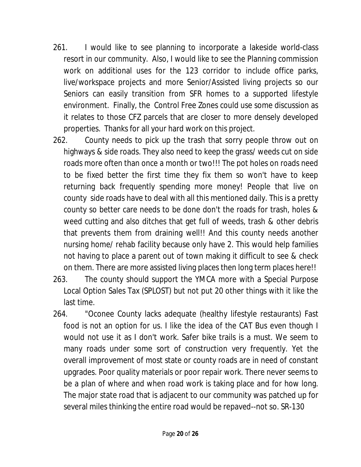- 261. I would like to see planning to incorporate a lakeside world-class resort in our community. Also, I would like to see the Planning commission work on additional uses for the 123 corridor to include office parks, live/workspace projects and more Senior/Assisted living projects so our Seniors can easily transition from SFR homes to a supported lifestyle environment. Finally, the Control Free Zones could use some discussion as it relates to those CFZ parcels that are closer to more densely developed properties. Thanks for all your hard work on this project.
- 262. County needs to pick up the trash that sorry people throw out on highways & side roads. They also need to keep the grass/ weeds cut on side roads more often than once a month or two!!! The pot holes on roads need to be fixed better the first time they fix them so won't have to keep returning back frequently spending more money! People that live on county side roads have to deal with all this mentioned daily. This is a pretty county so better care needs to be done don't the roads for trash, holes & weed cutting and also ditches that get full of weeds, trash & other debris that prevents them from draining well!! And this county needs another nursing home/ rehab facility because only have 2. This would help families not having to place a parent out of town making it difficult to see & check on them. There are more assisted living places then long term places here!!
- 263. The county should support the YMCA more with a Special Purpose Local Option Sales Tax (SPLOST) but not put 20 other things with it like the last time.
- 264. "Oconee County lacks adequate (healthy lifestyle restaurants) Fast food is not an option for us. I like the idea of the CAT Bus even though I would not use it as I don't work. Safer bike trails is a must. We seem to many roads under some sort of construction very frequently. Yet the overall improvement of most state or county roads are in need of constant upgrades. Poor quality materials or poor repair work. There never seems to be a plan of where and when road work is taking place and for how long. The major state road that is adjacent to our community was patched up for several miles thinking the entire road would be repaved--not so. SR-130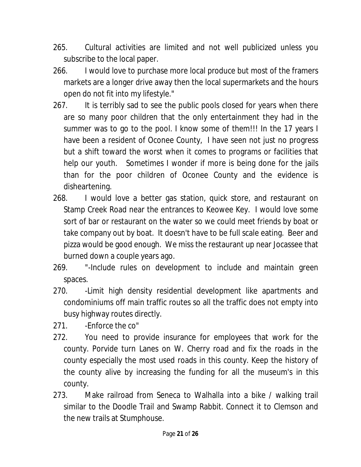- 265. Cultural activities are limited and not well publicized unless you subscribe to the local paper.
- 266. I would love to purchase more local produce but most of the framers markets are a longer drive away then the local supermarkets and the hours open do not fit into my lifestyle."
- 267. It is terribly sad to see the public pools closed for years when there are so many poor children that the only entertainment they had in the summer was to go to the pool. I know some of them!!! In the 17 years I have been a resident of Oconee County, I have seen not just no progress but a shift toward the worst when it comes to programs or facilities that help our youth. Sometimes I wonder if more is being done for the jails than for the poor children of Oconee County and the evidence is disheartening.
- 268. I would love a better gas station, quick store, and restaurant on Stamp Creek Road near the entrances to Keowee Key. I would love some sort of bar or restaurant on the water so we could meet friends by boat or take company out by boat. It doesn't have to be full scale eating. Beer and pizza would be good enough. We miss the restaurant up near Jocassee that burned down a couple years ago.
- 269. "-Include rules on development to include and maintain green spaces.
- 270. Limit high density residential development like apartments and condominiums off main traffic routes so all the traffic does not empty into busy highway routes directly.
- 271. Fnforce the co"
- 272. You need to provide insurance for employees that work for the county. Porvide turn Lanes on W. Cherry road and fix the roads in the county especially the most used roads in this county. Keep the history of the county alive by increasing the funding for all the museum's in this county.
- 273. Make railroad from Seneca to Walhalla into a bike / walking trail similar to the Doodle Trail and Swamp Rabbit. Connect it to Clemson and the new trails at Stumphouse.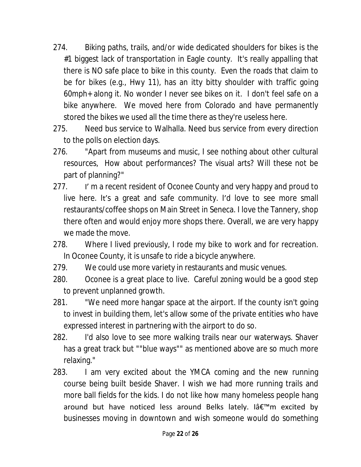- 274. Biking paths, trails, and/or wide dedicated shoulders for bikes is the #1 biggest lack of transportation in Eagle county. It's really appalling that there is NO safe place to bike in this county. Even the roads that claim to be for bikes (e.g., Hwy 11), has an itty bitty shoulder with traffic going 60mph+ along it. No wonder I never see bikes on it. I don't feel safe on a bike anywhere. We moved here from Colorado and have permanently stored the bikes we used all the time there as they're useless here.
- 275. Need bus service to Walhalla. Need bus service from every direction to the polls on election days.
- 276. "Apart from museums and music, I see nothing about other cultural resources, How about performances? The visual arts? Will these not be part of planning?"
- 277. I'm a recent resident of Oconee County and very happy and proud to live here. It's a great and safe community. I'd love to see more small restaurants/coffee shops on Main Street in Seneca. I love the Tannery, shop there often and would enjoy more shops there. Overall, we are very happy we made the move.
- 278. Where I lived previously, I rode my bike to work and for recreation. In Oconee County, it is unsafe to ride a bicycle anywhere.
- 279. We could use more variety in restaurants and music venues.
- 280. Oconee is a great place to live. Careful zoning would be a good step to prevent unplanned growth.
- 281. "We need more hangar space at the airport. If the county isn't going to invest in building them, let's allow some of the private entities who have expressed interest in partnering with the airport to do so.
- 282. I'd also love to see more walking trails near our waterways. Shaver has a great track but ""blue ways"" as mentioned above are so much more relaxing."
- 283. I am very excited about the YMCA coming and the new running course being built beside Shaver. I wish we had more running trails and more ball fields for the kids. I do not like how many homeless people hang around but have noticed less around Belks lately. Iâ $\epsilon$ <sup>m</sup>m excited by businesses moving in downtown and wish someone would do something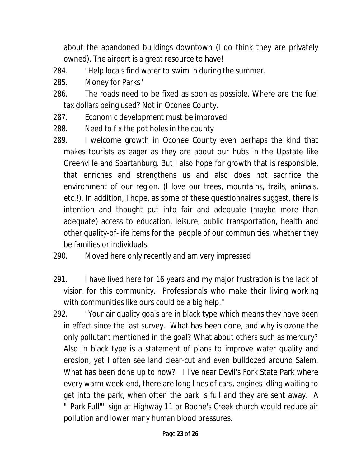about the abandoned buildings downtown (I do think they are privately owned). The airport is a great resource to have!

- 284. "Help locals find water to swim in during the summer.
- 285. Money for Parks"
- 286. The roads need to be fixed as soon as possible. Where are the fuel tax dollars being used? Not in Oconee County.
- 287. Economic development must be improved
- 288. Need to fix the pot holes in the county
- 289. I welcome growth in Oconee County even perhaps the kind that makes tourists as eager as they are about our hubs in the Upstate like Greenville and Spartanburg. But I also hope for growth that is responsible, that enriches and strengthens us and also does not sacrifice the environment of our region. (I love our trees, mountains, trails, animals, etc.!). In addition, I hope, as some of these questionnaires suggest, there is intention and thought put into fair and adequate (maybe more than adequate) access to education, leisure, public transportation, health and other quality-of-life items for the people of our communities, whether they be families or individuals.
- 290. Moved here only recently and am very impressed
- 291. I have lived here for 16 years and my major frustration is the lack of vision for this community. Professionals who make their living working with communities like ours could be a big help."
- 292. "Your air quality goals are in black type which means they have been in effect since the last survey. What has been done, and why is ozone the only pollutant mentioned in the goal? What about others such as mercury? Also in black type is a statement of plans to improve water quality and erosion, yet I often see land clear-cut and even bulldozed around Salem. What has been done up to now? I live near Devil's Fork State Park where every warm week-end, there are long lines of cars, engines idling waiting to get into the park, when often the park is full and they are sent away. A ""Park Full"" sign at Highway 11 or Boone's Creek church would reduce air pollution and lower many human blood pressures.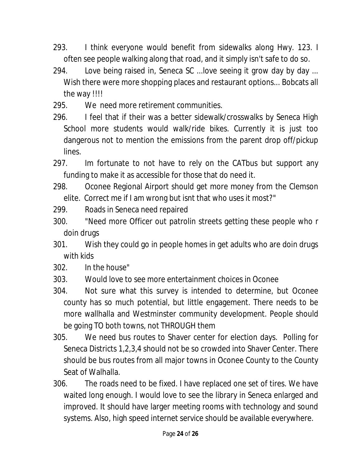- 293. I think everyone would benefit from sidewalks along Hwy. 123. I often see people walking along that road, and it simply isn't safe to do so.
- 294. Love being raised in, Seneca SC ...love seeing it grow day by day ... Wish there were more shopping places and restaurant options... Bobcats all the way !!!!
- 295. We need more retirement communities.
- 296. I feel that if their was a better sidewalk/crosswalks by Seneca High School more students would walk/ride bikes. Currently it is just too dangerous not to mention the emissions from the parent drop off/pickup lines.
- 297. Im fortunate to not have to rely on the CATbus but support any funding to make it as accessible for those that do need it.
- 298. Oconee Regional Airport should get more money from the Clemson elite. Correct me if I am wrong but isnt that who uses it most?"
- 299. Roads in Seneca need repaired
- 300. "Need more Officer out patrolin streets getting these people who r doin drugs
- 301. Wish they could go in people homes in get adults who are doin drugs with kids
- 302. In the house"
- 303. Would love to see more entertainment choices in Oconee
- 304. Not sure what this survey is intended to determine, but Oconee county has so much potential, but little engagement. There needs to be more wallhalla and Westminster community development. People should be going TO both towns, not THROUGH them
- 305. We need bus routes to Shaver center for election days. Polling for Seneca Districts 1,2,3,4 should not be so crowded into Shaver Center. There should be bus routes from all major towns in Oconee County to the County Seat of Walhalla.
- 306. The roads need to be fixed. I have replaced one set of tires. We have waited long enough. I would love to see the library in Seneca enlarged and improved. It should have larger meeting rooms with technology and sound systems. Also, high speed internet service should be available everywhere.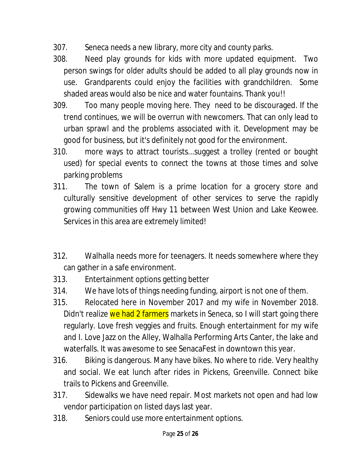- 307. Seneca needs a new library, more city and county parks.
- 308. Need play grounds for kids with more updated equipment. Two person swings for older adults should be added to all play grounds now in use. Grandparents could enjoy the facilities with grandchildren. Some shaded areas would also be nice and water fountains. Thank you!!
- 309. Too many people moving here. They need to be discouraged. If the trend continues, we will be overrun with newcomers. That can only lead to urban sprawl and the problems associated with it. Development may be good for business, but it's definitely not good for the environment.
- 310. more ways to attract tourists...suggest a trolley (rented or bought used) for special events to connect the towns at those times and solve parking problems
- 311. The town of Salem is a prime location for a grocery store and culturally sensitive development of other services to serve the rapidly growing communities off Hwy 11 between West Union and Lake Keowee. Services in this area are extremely limited!
- 312. Walhalla needs more for teenagers. It needs somewhere where they can gather in a safe environment.
- 313. Entertainment options getting better
- 314. We have lots of things needing funding, airport is not one of them.
- 315. Relocated here in November 2017 and my wife in November 2018. Didn't realize we had 2 farmers markets in Seneca, so I will start going there regularly. Love fresh veggies and fruits. Enough entertainment for my wife and I. Love Jazz on the Alley, Walhalla Performing Arts Canter, the lake and waterfalls. It was awesome to see SenacaFest in downtown this year.
- 316. Biking is dangerous. Many have bikes. No where to ride. Very healthy and social. We eat lunch after rides in Pickens, Greenville. Connect bike trails to Pickens and Greenville.
- 317. Sidewalks we have need repair. Most markets not open and had low vendor participation on listed days last year.
- 318. Seniors could use more entertainment options.